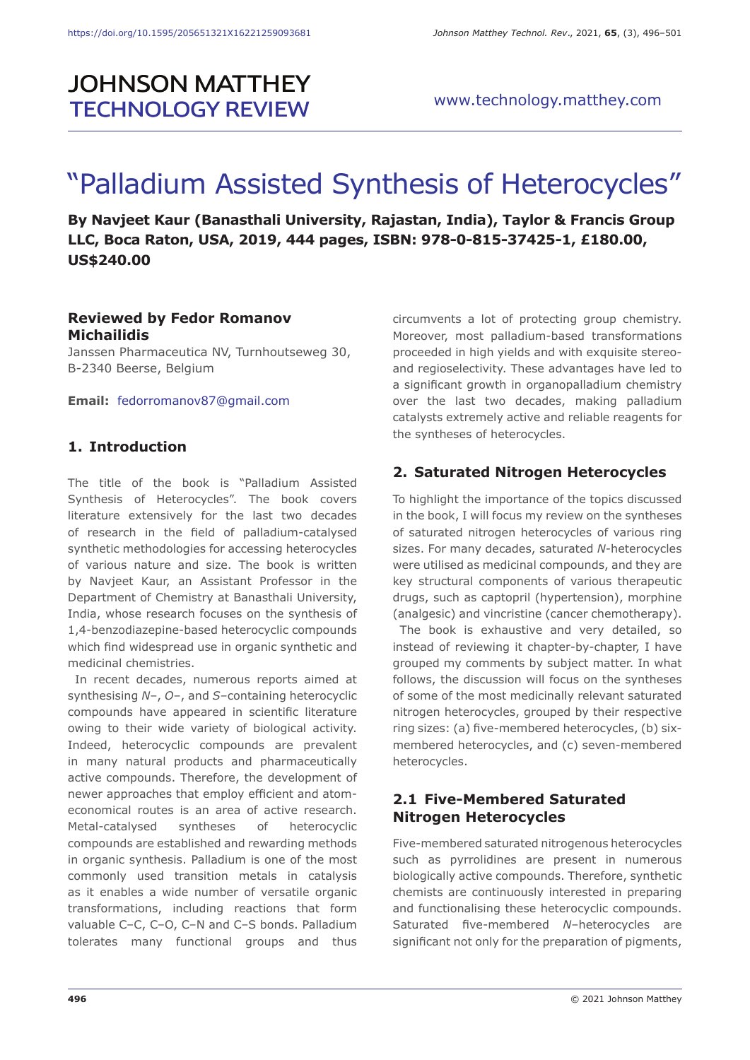# **JOHNSON MATTHEY TECHNOLOGY REVIEW**

# "Palladium Assisted Synthesis of Heterocycles"

**By Navjeet Kaur (Banasthali University, Rajastan, India), Taylor & Francis Group LLC, Boca Raton, USA, 2019, 444 pages, ISBN: 978-0-815-37425-1, £180.00, US\$240.00**

#### **Reviewed by Fedor Romanov Michailidis**

Janssen Pharmaceutica NV, Turnhoutseweg 30, B-2340 Beerse, Belgium

**Email:** fedorromanov87@gmail.com

# **1. Introduction**

The title of the book is "Palladium Assisted Synthesis of Heterocycles". The book covers literature extensively for the last two decades of research in the field of palladium-catalysed synthetic methodologies for accessing heterocycles of various nature and size. The book is written by Navjeet Kaur, an Assistant Professor in the Department of Chemistry at Banasthali University, India, whose research focuses on the synthesis of 1,4-benzodiazepine-based heterocyclic compounds which find widespread use in organic synthetic and medicinal chemistries.

In recent decades, numerous reports aimed at synthesising *N*–, *O*–, and *S*–containing heterocyclic compounds have appeared in scientific literature owing to their wide variety of biological activity. Indeed, heterocyclic compounds are prevalent in many natural products and pharmaceutically active compounds. Therefore, the development of newer approaches that employ efficient and atomeconomical routes is an area of active research. Metal-catalysed syntheses of heterocyclic compounds are established and rewarding methods in organic synthesis. Palladium is one of the most commonly used transition metals in catalysis as it enables a wide number of versatile organic transformations, including reactions that form valuable C–C, C–O, C–N and C–S bonds. Palladium tolerates many functional groups and thus

circumvents a lot of protecting group chemistry. Moreover, most palladium-based transformations proceeded in high yields and with exquisite stereoand regioselectivity. These advantages have led to a significant growth in organopalladium chemistry over the last two decades, making palladium catalysts extremely active and reliable reagents for the syntheses of heterocycles.

# **2. Saturated Nitrogen Heterocycles**

To highlight the importance of the topics discussed in the book, I will focus my review on the syntheses of saturated nitrogen heterocycles of various ring sizes. For many decades, saturated *N*-heterocycles were utilised as medicinal compounds, and they are key structural components of various therapeutic drugs, such as captopril (hypertension), morphine (analgesic) and vincristine (cancer chemotherapy).

The book is exhaustive and very detailed, so instead of reviewing it chapter-by-chapter, I have grouped my comments by subject matter. In what follows, the discussion will focus on the syntheses of some of the most medicinally relevant saturated nitrogen heterocycles, grouped by their respective ring sizes: (a) five-membered heterocycles, (b) sixmembered heterocycles, and (c) seven-membered heterocycles.

# **2.1 Five-Membered Saturated Nitrogen Heterocycles**

Five-membered saturated nitrogenous heterocycles such as pyrrolidines are present in numerous biologically active compounds. Therefore, synthetic chemists are continuously interested in preparing and functionalising these heterocyclic compounds. Saturated five-membered *N*–heterocycles are significant not only for the preparation of pigments,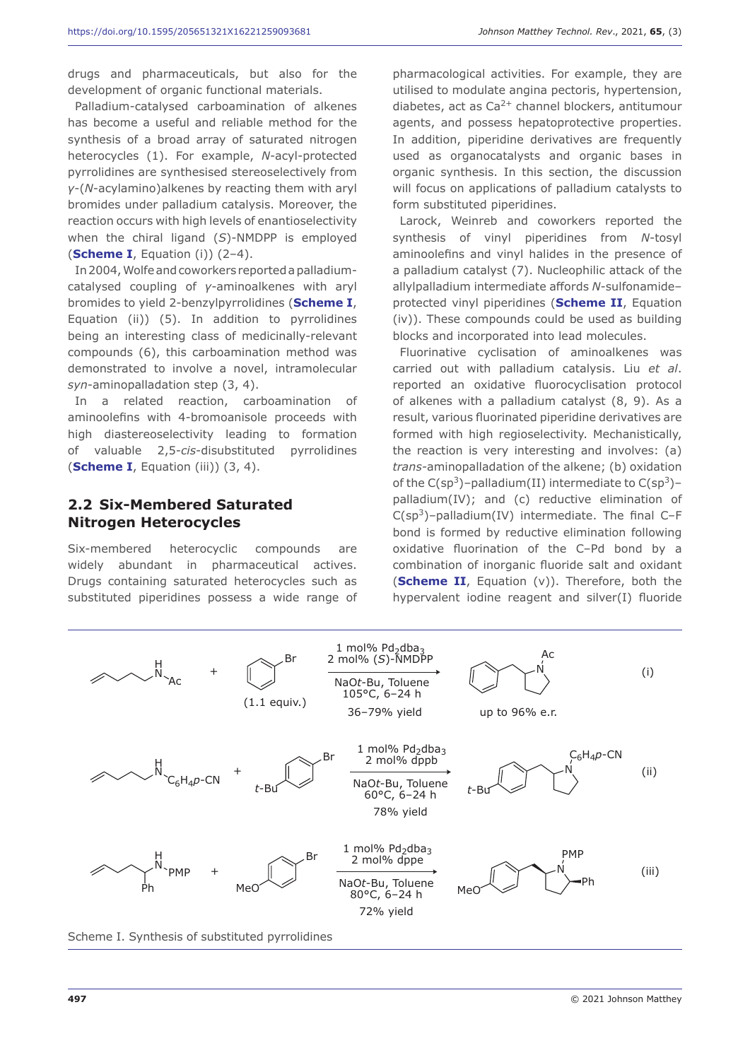drugs and pharmaceuticals, but also for the development of organic functional materials.

Palladium-catalysed carboamination of alkenes has become a useful and reliable method for the synthesis of a broad array of saturated nitrogen heterocycles (1). For example, *N*-acyl-protected pyrrolidines are synthesised stereoselectively from *γ*-(*N*-acylamino)alkenes by reacting them with aryl bromides under palladium catalysis. Moreover, the reaction occurs with high levels of enantioselectivity when the chiral ligand (*S*)-NMDPP is employed (**Scheme I**, Equation (i)) (2–4).

In 2004, Wolfe and coworkers reported a palladiumcatalysed coupling of *γ*-aminoalkenes with aryl bromides to yield 2-benzylpyrrolidines (**Scheme I**, Equation (ii)) (5). In addition to pyrrolidines being an interesting class of medicinally-relevant compounds (6), this carboamination method was demonstrated to involve a novel, intramolecular *syn*-aminopalladation step (3, 4).

In a related reaction, carboamination of aminoolefins with 4-bromoanisole proceeds with high diastereoselectivity leading to formation of valuable 2,5-*cis*-disubstituted pyrrolidines (**Scheme I**, Equation (iii)) (3, 4).

# **2.2 Six-Membered Saturated Nitrogen Heterocycles**

Six-membered heterocyclic compounds are widely abundant in pharmaceutical actives. Drugs containing saturated heterocycles such as substituted piperidines possess a wide range of pharmacological activities. For example, they are utilised to modulate angina pectoris, hypertension, diabetes, act as  $Ca^{2+}$  channel blockers, antitumour agents, and possess hepatoprotective properties. In addition, piperidine derivatives are frequently used as organocatalysts and organic bases in organic synthesis. In this section, the discussion will focus on applications of palladium catalysts to form substituted piperidines.

Larock, Weinreb and coworkers reported the synthesis of vinyl piperidines from *N*-tosyl aminoolefins and vinyl halides in the presence of a palladium catalyst (7). Nucleophilic attack of the allylpalladium intermediate affords *N*-sulfonamide– protected vinyl piperidines (**Scheme II**, Equation (iv)). These compounds could be used as building blocks and incorporated into lead molecules.

Fluorinative cyclisation of aminoalkenes was carried out with palladium catalysis. Liu *et al*. reported an oxidative fluorocyclisation protocol of alkenes with a palladium catalyst (8, 9). As a result, various fluorinated piperidine derivatives are formed with high regioselectivity. Mechanistically, the reaction is very interesting and involves: (a) *trans-*aminopalladation of the alkene; (b) oxidation of the  $C(sp^3)$ -palladium(II) intermediate to  $C(sp^3)$ palladium(IV); and (c) reductive elimination of  $C(sp<sup>3</sup>)$ –palladium(IV) intermediate. The final C–F bond is formed by reductive elimination following oxidative fluorination of the C–Pd bond by a combination of inorganic fluoride salt and oxidant (**Scheme II**, Equation (v)). Therefore, both the hypervalent iodine reagent and silver(I) fluoride



Scheme I. Synthesis of substituted pyrrolidines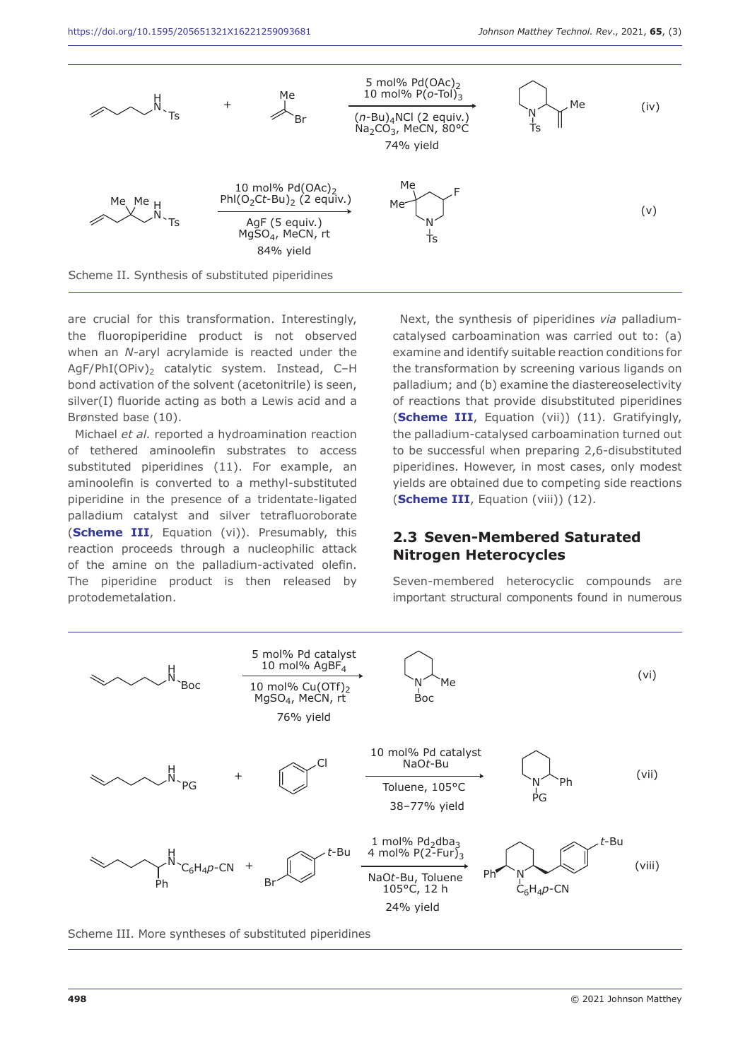

are crucial for this transformation. Interestingly, the fluoropiperidine product is not observed when an *N-*aryl acrylamide is reacted under the AgF/PhI(OPiv)<sub>2</sub> catalytic system. Instead, C-H bond activation of the solvent (acetonitrile) is seen, silver(I) fluoride acting as both a Lewis acid and a Brønsted base (10).

Michael *et al.* reported a hydroamination reaction of tethered aminoolefin substrates to access substituted piperidines (11). For example, an aminoolefin is converted to a methyl-substituted piperidine in the presence of a tridentate-ligated palladium catalyst and silver tetrafluoroborate (**Scheme III**, Equation (vi)). Presumably, this reaction proceeds through a nucleophilic attack of the amine on the palladium-activated olefin. The piperidine product is then released by protodemetalation.

Next, the synthesis of piperidines *via* palladiumcatalysed carboamination was carried out to: (a) examine and identify suitable reaction conditions for the transformation by screening various ligands on palladium; and (b) examine the diastereoselectivity of reactions that provide disubstituted piperidines (**Scheme III**, Equation (vii)) (11). Gratifyingly, the palladium-catalysed carboamination turned out to be successful when preparing 2,6-disubstituted piperidines. However, in most cases, only modest yields are obtained due to competing side reactions (**Scheme III**, Equation (viii)) (12).

### **2.3 Seven-Membered Saturated Nitrogen Heterocycles**

Seven-membered heterocyclic compounds are important structural components found in numerous



Scheme III. More syntheses of substituted piperidines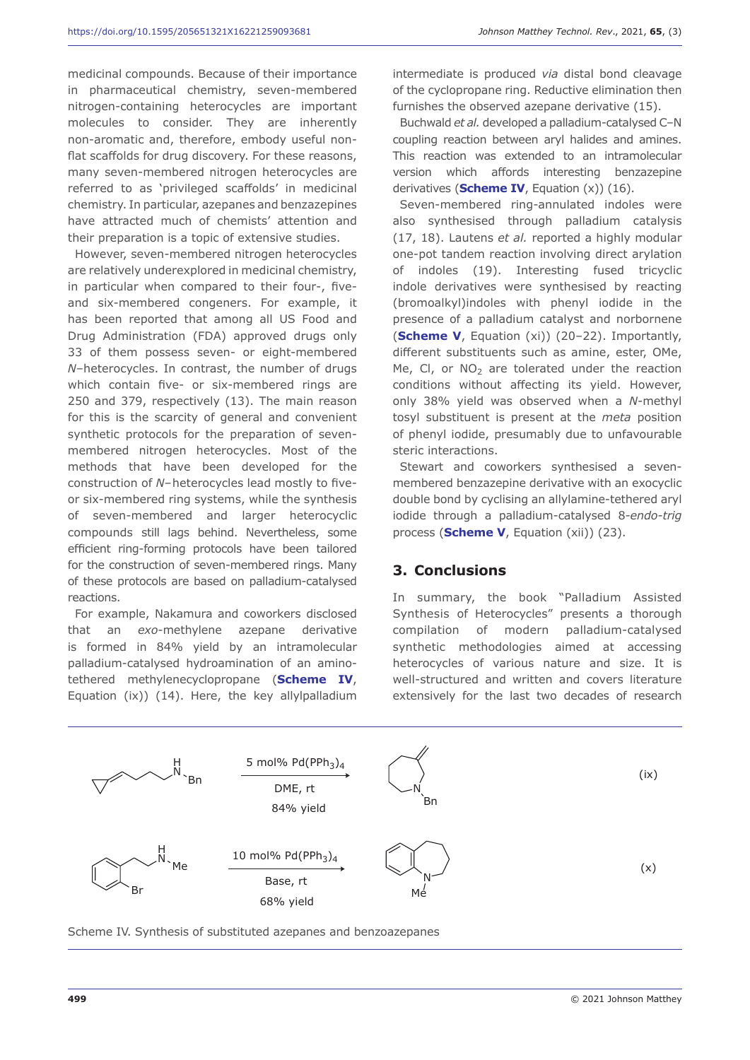medicinal compounds. Because of their importance in pharmaceutical chemistry, seven-membered nitrogen-containing heterocycles are important molecules to consider. They are inherently non-aromatic and, therefore, embody useful nonflat scaffolds for drug discovery. For these reasons, many seven-membered nitrogen heterocycles are referred to as 'privileged scaffolds' in medicinal chemistry. In particular, azepanes and benzazepines have attracted much of chemists' attention and their preparation is a topic of extensive studies.

However, seven-membered nitrogen heterocycles are relatively underexplored in medicinal chemistry, in particular when compared to their four-, fiveand six-membered congeners. For example, it has been reported that among all US Food and Drug Administration (FDA) approved drugs only 33 of them possess seven- or eight-membered *N*–heterocycles. In contrast, the number of drugs which contain five- or six-membered rings are 250 and 379, respectively (13). The main reason for this is the scarcity of general and convenient synthetic protocols for the preparation of sevenmembered nitrogen heterocycles. Most of the methods that have been developed for the construction of *N*–heterocycles lead mostly to fiveor six-membered ring systems, while the synthesis of seven-membered and larger heterocyclic compounds still lags behind. Nevertheless, some efficient ring-forming protocols have been tailored for the construction of seven-membered rings. Many of these protocols are based on palladium-catalysed reactions.

For example, Nakamura and coworkers disclosed that an *exo*-methylene azepane derivative is formed in 84% yield by an intramolecular palladium-catalysed hydroamination of an aminotethered methylenecyclopropane (**Scheme IV**, Equation (ix)) (14). Here, the key allylpalladium

intermediate is produced *via* distal bond cleavage of the cyclopropane ring. Reductive elimination then furnishes the observed azepane derivative (15).

Buchwald *et al.* developed a palladium-catalysed C–N coupling reaction between aryl halides and amines. This reaction was extended to an intramolecular version which affords interesting benzazepine derivatives (**Scheme IV**, Equation (x)) (16).

Seven-membered ring-annulated indoles were also synthesised through palladium catalysis (17, 18). Lautens *et al.* reported a highly modular one-pot tandem reaction involving direct arylation of indoles (19). Interesting fused tricyclic indole derivatives were synthesised by reacting (bromoalkyl)indoles with phenyl iodide in the presence of a palladium catalyst and norbornene (**Scheme V**, Equation (xi)) (20–22). Importantly, different substituents such as amine, ester, OMe, Me, Cl, or  $NO<sub>2</sub>$  are tolerated under the reaction conditions without affecting its yield. However, only 38% yield was observed when a *N*-methyl tosyl substituent is present at the *meta* position of phenyl iodide, presumably due to unfavourable steric interactions.

Stewart and coworkers synthesised a sevenmembered benzazepine derivative with an exocyclic double bond by cyclising an allylamine-tethered aryl iodide through a palladium-catalysed 8-*endo-trig* process (**Scheme V**, Equation (xii)) (23).

#### **3. Conclusions**

In summary, the book "Palladium Assisted Synthesis of Heterocycles" presents a thorough compilation of modern palladium-catalysed synthetic methodologies aimed at accessing heterocycles of various nature and size. It is well-structured and written and covers literature extensively for the last two decades of research



Scheme IV. Synthesis of substituted azepanes and benzoazepanes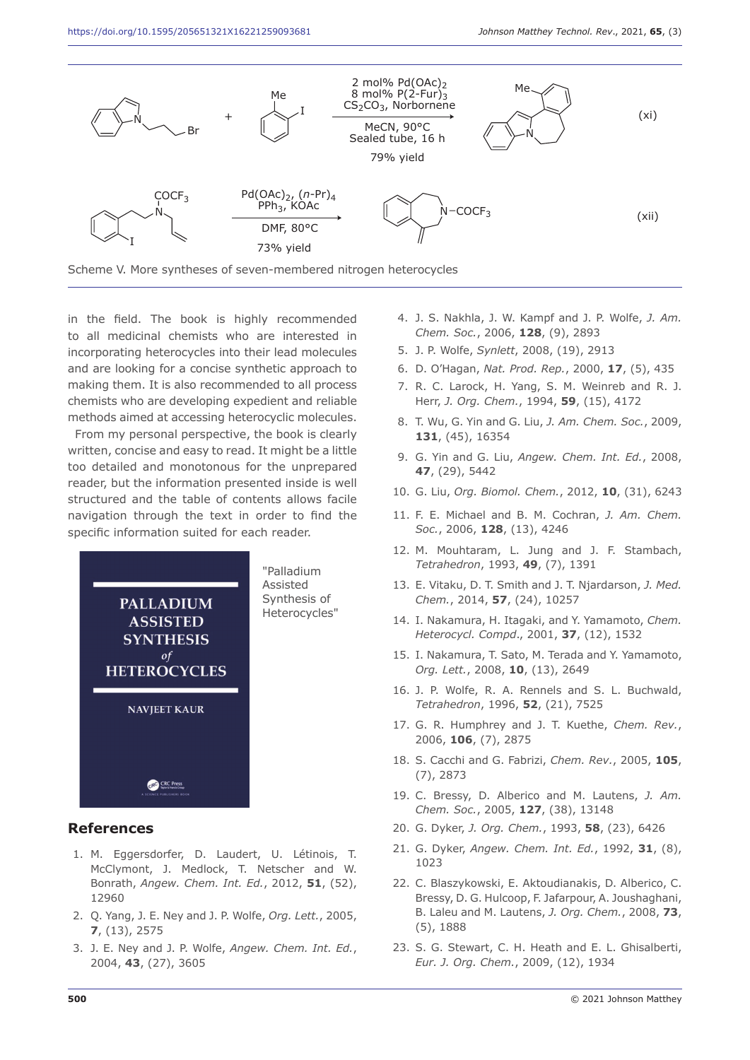

in the field. The book is highly recommended to all medicinal chemists who are interested in incorporating heterocycles into their lead molecules and are looking for a concise synthetic approach to making them. It is also recommended to all process chemists who are developing expedient and reliable methods aimed at accessing heterocyclic molecules.

From my personal perspective, the book is clearly written, concise and easy to read. It might be a little too detailed and monotonous for the unprepared reader, but the information presented inside is well structured and the table of contents allows facile navigation through the text in order to find the specific information suited for each reader.



#### **References**

- 1. M. Eggersdorfer, D. Laudert, U. Létinois, T. McClymont, J. Medlock, T. Netscher and W. Bonrath, *Angew. Chem. Int. Ed.*, 2012, **51**, (52), 12960
- 2. Q. Yang, J. E. Ney and J. P. Wolfe, *Org. Lett.*, 2005, **7**, (13), 2575
- 3. J. E. Ney and J. P. Wolfe, *Angew. Chem. Int. Ed.*, 2004, **43**, (27), 3605
- 4. J. S. Nakhla, J. W. Kampf and J. P. Wolfe, *J. Am. Chem. Soc.*, 2006, **128**, (9), 2893
- 5. J. P. Wolfe, *Synlett*, 2008, (19), 2913
- 6. D. O'Hagan, *Nat. Prod. Rep.*, 2000, **17**, (5), 435
- 7. R. C. Larock, H. Yang, S. M. Weinreb and R. J. Herr, *J. Org. Chem.*, 1994, **59**, (15), 4172
- 8. T. Wu, G. Yin and G. Liu, *J. Am. Chem. Soc.*, 2009, **131**, (45), 16354
- 9. G. Yin and G. Liu, *Angew. Chem. Int. Ed.*, 2008, **47**, (29), 5442
- 10. G. Liu, *Org. Biomol. Chem.*, 2012, **10**, (31), 6243
- 11. F. E. Michael and B. M. Cochran, *J. Am. Chem. Soc.*, 2006, **128**, (13), 4246
- 12. M. Mouhtaram, L. Jung and J. F. Stambach, *Tetrahedron*, 1993, **49**, (7), 1391
- 13. E. Vitaku, D. T. Smith and J. T. Njardarson, *J. Med. Chem.*, 2014, **57**, (24), 10257
- 14. I. Nakamura, H. Itagaki, and Y. Yamamoto, *Chem. Heterocycl. Compd*., 2001, **37**, (12), 1532
- 15. I. Nakamura, T. Sato, M. Terada and Y. Yamamoto, *Org. Lett.*, 2008, **10**, (13), 2649
- 16. J. P. Wolfe, R. A. Rennels and S. L. Buchwald, *Tetrahedron*, 1996, **52**, (21), 7525
- 17. G. R. Humphrey and J. T. Kuethe, *Chem. Rev.*, 2006, **106**, (7), 2875
- 18. S. Cacchi and G. Fabrizi, *Chem. Rev.*, 2005, **105**, (7), 2873
- 19. C. Bressy, D. Alberico and M. Lautens, *J. Am. Chem. Soc.*, 2005, **127**, (38), 13148
- 20. G. Dyker, *J. Org. Chem.*, 1993, **58**, (23), 6426
- 21. G. Dyker, *Angew. Chem. Int. Ed.*, 1992, **31**, (8), 1023
- 22. C. Blaszykowski, E. Aktoudianakis, D. Alberico, C. Bressy, D. G. Hulcoop, F. Jafarpour, A. Joushaghani, B. Laleu and M. Lautens, *J. Org. Chem.*, 2008, **73**, (5), 1888
- 23. S. G. Stewart, C. H. Heath and E. L. Ghisalberti, *Eur. J. Org. Chem.*, 2009, (12), 1934